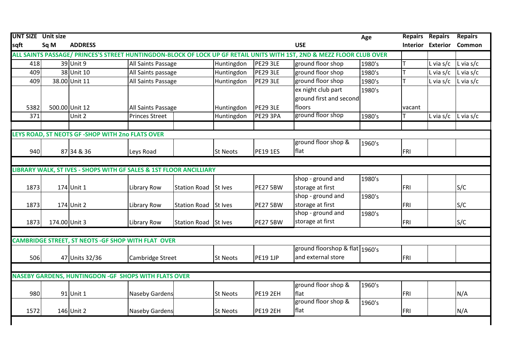| <b>UNT SIZE</b> Unit size |               |                                                                    |                       |                     |                 |                 |                                                                                                                       | Age    | <b>Repairs</b> | <b>Repairs</b>           | <b>Repairs</b>    |
|---------------------------|---------------|--------------------------------------------------------------------|-----------------------|---------------------|-----------------|-----------------|-----------------------------------------------------------------------------------------------------------------------|--------|----------------|--------------------------|-------------------|
| sqft                      | Sq M          | <b>ADDRESS</b>                                                     |                       |                     |                 |                 | <b>USE</b>                                                                                                            |        |                | <b>Interior Exterior</b> | Common            |
|                           |               |                                                                    |                       |                     |                 |                 | ALL SAINTS PASSAGE/ PRINCES'S STREET HUNTINGDON-BLOCK OF LOCK UP GF RETAIL UNITS WITH 1ST, 2ND & MEZZ FLOOR CLUB OVER |        |                |                          |                   |
| 418                       |               | 39 Unit 9                                                          | All Saints Passage    |                     | Huntingdon      | <b>PE29 3LE</b> | ground floor shop                                                                                                     | 1980's |                | L via s/c                | $L$ via s/c       |
| 409                       |               | 38 Unit 10                                                         | All Saints passage    |                     | Huntingdon      | <b>PE29 3LE</b> | ground floor shop                                                                                                     | 1980's |                | L via $s/c$              | $L$ via s/c       |
| 409                       |               | 38.00 Unit 11                                                      | All Saints Passage    |                     | Huntingdon      | <b>PE29 3LE</b> | ground floor shop                                                                                                     | 1980's |                | L via $s/c$              | $L$ via s/c       |
|                           |               |                                                                    |                       |                     |                 |                 | ex night club part                                                                                                    | 1980's |                |                          |                   |
|                           |               |                                                                    |                       |                     |                 |                 | ground first and second                                                                                               |        |                |                          |                   |
| 5382                      |               | 500.00 Unit 12                                                     | All Saints Passage    |                     | Huntingdon      | <b>PE29 3LE</b> | floors                                                                                                                |        | vacant         |                          |                   |
| 371                       |               | Unit 2                                                             | <b>Princes Street</b> |                     | Huntingdon      | <b>PE29 3PA</b> | ground floor shop                                                                                                     | 1980's |                | L via $s/c$              | $\vert$ L via s/c |
|                           |               |                                                                    |                       |                     |                 |                 |                                                                                                                       |        |                |                          |                   |
|                           |               | LEYS ROAD, ST NEOTS GF -SHOP WITH 2no FLATS OVER                   |                       |                     |                 |                 |                                                                                                                       |        |                |                          |                   |
|                           |               |                                                                    |                       |                     |                 |                 | ground floor shop &                                                                                                   | 1960's |                |                          |                   |
| 940                       |               | 87 34 & 36                                                         | Leys Road             |                     | <b>St Neots</b> | <b>PE19 1ES</b> | flat                                                                                                                  |        | FRI            |                          |                   |
|                           |               |                                                                    |                       |                     |                 |                 |                                                                                                                       |        |                |                          |                   |
|                           |               | LIBRARY WALK, ST IVES - SHOPS WITH GF SALES & 1ST FLOOR ANCILLIARY |                       |                     |                 |                 |                                                                                                                       |        |                |                          |                   |
|                           |               |                                                                    |                       |                     |                 |                 | shop - ground and                                                                                                     | 1980's |                |                          |                   |
| 1873                      |               | 174 Unit 1                                                         | <b>Library Row</b>    | <b>Station Road</b> | St Ives         | <b>PE27 5BW</b> | storage at first                                                                                                      |        | FRI            |                          | S/C               |
|                           |               |                                                                    |                       |                     |                 |                 | shop - ground and                                                                                                     | 1980's |                |                          |                   |
| 1873                      |               | 174 Unit 2                                                         | <b>Library Row</b>    | <b>Station Road</b> | St Ives         | <b>PE27 5BW</b> | storage at first                                                                                                      |        | FRI            |                          | S/C               |
|                           |               |                                                                    |                       |                     |                 |                 | shop - ground and                                                                                                     | 1980's |                |                          |                   |
| 1873                      | 174.00 Unit 3 |                                                                    | <b>Library Row</b>    | <b>Station Road</b> | St Ives         | <b>PE27 5BW</b> | storage at first                                                                                                      |        | FRI            |                          | S/C               |
|                           |               |                                                                    |                       |                     |                 |                 |                                                                                                                       |        |                |                          |                   |
|                           |               | CAMBRIDGE STREET, ST NEOTS - GF SHOP WITH FLAT OVER                |                       |                     |                 |                 |                                                                                                                       |        |                |                          |                   |
|                           |               |                                                                    |                       |                     |                 |                 | ground floorshop & flat 1960's                                                                                        |        |                |                          |                   |
| 506                       |               | 47 Units 32/36                                                     | Cambridge Street      |                     | <b>St Neots</b> | <b>PE19 1JP</b> | and external store                                                                                                    |        | FRI            |                          |                   |
|                           |               |                                                                    |                       |                     |                 |                 |                                                                                                                       |        |                |                          |                   |
|                           |               | <b>NASEBY GARDENS, HUNTINGDON - GF SHOPS WITH FLATS OVER</b>       |                       |                     |                 |                 |                                                                                                                       |        |                |                          |                   |
|                           |               |                                                                    |                       |                     |                 |                 | ground floor shop &                                                                                                   | 1960's |                |                          |                   |
| 980                       |               | 91 Unit 1                                                          | <b>Naseby Gardens</b> |                     | <b>St Neots</b> | <b>PE19 2EH</b> | flat                                                                                                                  |        | FRI            |                          | N/A               |
|                           |               |                                                                    |                       |                     |                 |                 | ground floor shop &                                                                                                   | 1960's |                |                          |                   |
| 1572                      |               | 146 Unit 2                                                         | Naseby Gardens        |                     | <b>St Neots</b> | <b>PE19 2EH</b> | flat                                                                                                                  |        | FRI            |                          | N/A               |
|                           |               |                                                                    |                       |                     |                 |                 |                                                                                                                       |        |                |                          |                   |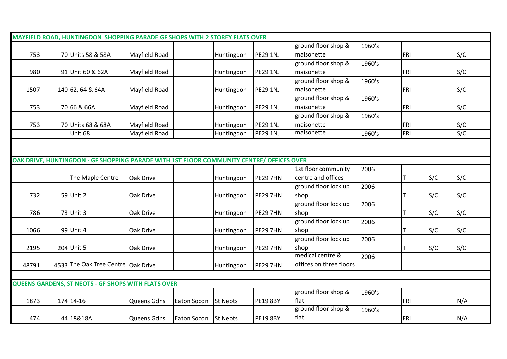|       | MAYFIELD ROAD, HUNTINGDON SHOPPING PARADE GF SHOPS WITH 2 STOREY FLATS OVER              |               |                      |                 |                 |                         |        |     |     |     |
|-------|------------------------------------------------------------------------------------------|---------------|----------------------|-----------------|-----------------|-------------------------|--------|-----|-----|-----|
|       |                                                                                          |               |                      |                 |                 | ground floor shop &     | 1960's |     |     |     |
| 753   | 70 Units 58 & 58A                                                                        | Mayfield Road |                      | Huntingdon      | <b>PE29 1NJ</b> | maisonette              |        | FRI |     | S/C |
|       |                                                                                          |               |                      |                 |                 | ground floor shop &     | 1960's |     |     |     |
| 980   | 91 Unit 60 & 62A                                                                         | Mayfield Road |                      | Huntingdon      | <b>PE29 1NJ</b> | maisonette              |        | FRI |     | S/C |
|       |                                                                                          |               |                      |                 |                 | ground floor shop &     | 1960's |     |     |     |
| 1507  | 140 62, 64 & 64A                                                                         | Mayfield Road |                      | Huntingdon      | <b>PE29 1NJ</b> | maisonette              |        | FRI |     | S/C |
|       |                                                                                          |               |                      |                 |                 | ground floor shop &     | 1960's |     |     |     |
| 753   | 70 66 & 66A                                                                              | Mayfield Road |                      | Huntingdon      | <b>PE29 1NJ</b> | maisonette              |        | FRI |     | S/C |
|       |                                                                                          |               |                      |                 |                 | ground floor shop &     | 1960's |     |     |     |
| 753   | 70 Units 68 & 68A                                                                        | Mayfield Road |                      | Huntingdon      | <b>PE29 1NJ</b> | maisonette              |        | FRI |     | S/C |
|       | Unit 68                                                                                  | Mayfield Road |                      | Huntingdon      | <b>PE29 1NJ</b> | maisonette              | 1960's | FRI |     | S/C |
|       |                                                                                          |               |                      |                 |                 |                         |        |     |     |     |
|       |                                                                                          |               |                      |                 |                 |                         |        |     |     |     |
|       | OAK DRIVE, HUNTINGDON - GF SHOPPING PARADE WITH 1ST FLOOR COMMUNITY CENTRE/ OFFICES OVER |               |                      |                 |                 |                         |        |     |     |     |
|       |                                                                                          |               |                      |                 |                 | 1st floor community     | 2006   |     |     |     |
|       | The Maple Centre                                                                         | Oak Drive     |                      | Huntingdon      | <b>PE29 7HN</b> | centre and offices      |        |     | S/C | S/C |
|       |                                                                                          |               |                      |                 |                 | ground floor lock up    | 2006   |     |     |     |
| 732   | 59 Unit 2                                                                                | Oak Drive     |                      | Huntingdon      | <b>PE29 7HN</b> | shop                    |        |     | S/C | S/C |
|       |                                                                                          |               |                      |                 |                 | ground floor lock up    | 2006   |     |     |     |
| 786   | 73 Unit 3                                                                                | Oak Drive     |                      | Huntingdon      | <b>PE29 7HN</b> | shop                    |        |     | S/C | S/C |
|       |                                                                                          |               |                      |                 |                 | ground floor lock up    | 2006   |     |     |     |
| 1066  | 99 Unit 4                                                                                | Oak Drive     |                      | Huntingdon      | <b>PE29 7HN</b> | shop                    |        |     | S/C | S/C |
|       |                                                                                          |               |                      |                 |                 | ground floor lock up    | 2006   |     |     |     |
| 2195  | 204 Unit 5                                                                               | Oak Drive     |                      | Huntingdon      | <b>PE29 7HN</b> | shop                    |        |     | S/C | S/C |
|       |                                                                                          |               |                      |                 |                 | medical centre &        | 2006   |     |     |     |
| 48791 | 4533 The Oak Tree Centre   Oak Drive                                                     |               |                      | Huntingdon      | <b>PE29 7HN</b> | offices on three floors |        |     |     |     |
|       |                                                                                          |               |                      |                 |                 |                         |        |     |     |     |
|       | <b>QUEENS GARDENS, ST NEOTS - GF SHOPS WITH FLATS OVER</b>                               |               |                      |                 |                 |                         |        |     |     |     |
|       |                                                                                          |               |                      |                 |                 | ground floor shop &     | 1960's |     |     |     |
| 1873  | 174 14-16                                                                                | Queens Gdns   | Eaton Socon          | <b>St Neots</b> | <b>PE19 8BY</b> | flat                    |        | FRI |     | N/A |
|       |                                                                                          |               |                      |                 |                 | ground floor shop &     | 1960's |     |     |     |
| 474   | 44 18&18A                                                                                | Queens Gdns   | Eaton Socon St Neots |                 | <b>PE19 8BY</b> | flat                    |        | FRI |     | N/A |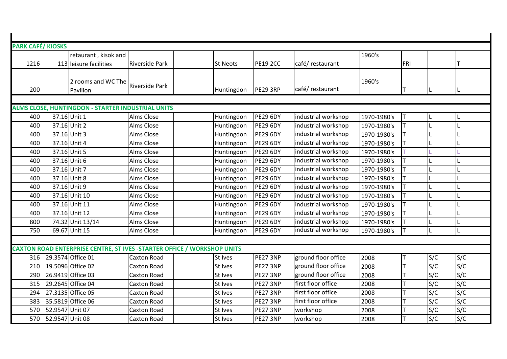| <b>PARK CAFÉ/ KIOSKS</b> |                 |                                                                         |                       |                 |                 |                     |             |            |     |     |
|--------------------------|-----------------|-------------------------------------------------------------------------|-----------------------|-----------------|-----------------|---------------------|-------------|------------|-----|-----|
|                          |                 | retaurant, kisok and                                                    |                       |                 |                 |                     | 1960's      |            |     |     |
| 1216                     |                 | 113 leisure facilities                                                  | <b>Riverside Park</b> | <b>St Neots</b> | <b>PE19 2CC</b> | café/restaurant     |             | <b>FRI</b> |     |     |
|                          |                 |                                                                         |                       |                 |                 |                     |             |            |     |     |
|                          |                 | 2 rooms and WC The                                                      | <b>Riverside Park</b> |                 |                 |                     | 1960's      |            |     |     |
| 200                      |                 | Pavilion                                                                |                       | Huntingdon      | <b>PE29 3RP</b> | café/restaurant     |             |            |     |     |
|                          |                 |                                                                         |                       |                 |                 |                     |             |            |     |     |
|                          |                 | ALMS CLOSE, HUNTINGDON - STARTER INDUSTRIAL UNITS                       |                       |                 |                 |                     |             |            |     |     |
| 400                      | 37.16 Unit 1    |                                                                         | Alms Close            | Huntingdon      | <b>PE29 6DY</b> | industrial workshop | 1970-1980's | ΙT         |     |     |
| 400                      |                 | 37.16 Unit 2                                                            | Alms Close            | Huntingdon      | <b>PE29 6DY</b> | industrial workshop | 1970-1980's |            |     |     |
| 400                      |                 | 37.16 Unit 3                                                            | Alms Close            | Huntingdon      | <b>PE29 6DY</b> | industrial workshop | 1970-1980's |            |     |     |
| 400                      |                 | 37.16 Unit 4                                                            | Alms Close            | Huntingdon      | <b>PE29 6DY</b> | industrial workshop | 1970-1980's |            |     |     |
| 400                      |                 | 37.16 Unit 5                                                            | Alms Close            | Huntingdon      | <b>PE29 6DY</b> | industrial workshop | 1970-1980's |            |     |     |
| 400                      |                 | 37.16 Unit 6                                                            | Alms Close            | Huntingdon      | <b>PE29 6DY</b> | industrial workshop | 1970-1980's |            |     |     |
| 400                      |                 | 37.16 Unit 7                                                            | Alms Close            | Huntingdon      | <b>PE29 6DY</b> | industrial workshop | 1970-1980's |            |     |     |
| 400                      |                 | 37.16 Unit 8                                                            | Alms Close            | Huntingdon      | <b>PE29 6DY</b> | industrial workshop | 1970-1980's |            |     |     |
| 400                      |                 | 37.16 Unit 9                                                            | Alms Close            | Huntingdon      | <b>PE29 6DY</b> | industrial workshop | 1970-1980's |            |     |     |
| 400                      |                 | 37.16 Unit 10                                                           | Alms Close            | Huntingdon      | <b>PE29 6DY</b> | industrial workshop | 1970-1980's |            |     |     |
| 400                      |                 | 37.16 Unit 11                                                           | Alms Close            | Huntingdon      | <b>PE29 6DY</b> | industrial workshop | 1970-1980's |            |     |     |
| 400                      |                 | 37.16 Unit 12                                                           | Alms Close            | Huntingdon      | <b>PE29 6DY</b> | industrial workshop | 1970-1980's |            |     |     |
| 800                      |                 | 74.32 Unit 13/14                                                        | Alms Close            | Huntingdon      | <b>PE29 6DY</b> | industrial workshop | 1970-1980's |            |     |     |
| 750                      |                 | 69.67 Unit 15                                                           | Alms Close            | Huntingdon      | <b>PE29 6DY</b> | industrial workshop | 1970-1980's |            |     |     |
|                          |                 |                                                                         |                       |                 |                 |                     |             |            |     |     |
|                          |                 | CAXTON ROAD ENTERPRISE CENTRE, ST IVES -STARTER OFFICE / WORKSHOP UNITS |                       |                 |                 |                     |             |            |     |     |
| 316                      |                 | 29.3574 Office 01                                                       | <b>Caxton Road</b>    | St Ives         | PE27 3NP        | ground floor office | 2008        |            | S/C | S/C |
| 210                      |                 | 19.5096 Office 02                                                       | <b>Caxton Road</b>    | St Ives         | PE27 3NP        | ground floor office | 2008        |            | S/C | S/C |
| 290                      |                 | 26.9419 Office 03                                                       | Caxton Road           | St Ives         | PE27 3NP        | ground floor office | 2008        |            | S/C | S/C |
| 315                      |                 | 29.2645 Office 04                                                       | Caxton Road           | St Ives         | PE27 3NP        | first floor office  | 2008        |            | S/C | S/C |
| 294                      |                 | 27.3135 Office 05                                                       | Caxton Road           | St Ives         | PE27 3NP        | first floor office  | 2008        |            | S/C | S/C |
| 383                      |                 | 35.5819 Office 06                                                       | Caxton Road           | St Ives         | PE27 3NP        | first floor office  | 2008        |            | S/C | S/C |
| 570                      | 52.9547 Unit 07 |                                                                         | Caxton Road           | St Ives         | <b>PE27 3NP</b> | workshop            | 2008        |            | S/C | S/C |
| 570                      | 52.9547 Unit 08 |                                                                         | Caxton Road           | St Ives         | PE27 3NP        | workshop            | 2008        |            | S/C | S/C |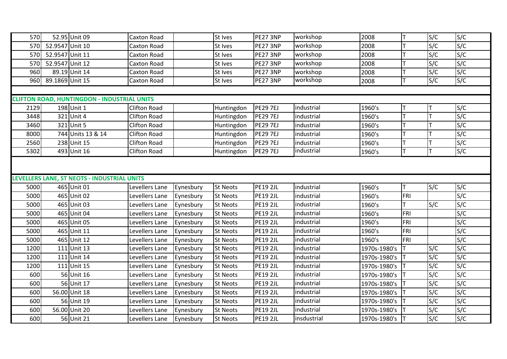| 570  |                 | 52.95 Unit 09                                      | Caxton Road         |           | St Ives         | <b>PE27 3NP</b> | workshop    | 2008         |     | S/C | S/C |
|------|-----------------|----------------------------------------------------|---------------------|-----------|-----------------|-----------------|-------------|--------------|-----|-----|-----|
| 570  | 52.9547 Unit 10 |                                                    | Caxton Road         |           | St Ives         | PE27 3NP        | workshop    | 2008         |     | S/C | S/C |
| 570  | 52.9547 Unit 11 |                                                    | Caxton Road         |           | St Ives         | PE27 3NP        | workshop    | 2008         |     | S/C | S/C |
| 570  | 52.9547 Unit 12 |                                                    | Caxton Road         |           | St Ives         | PE27 3NP        | workshop    | 2008         |     | S/C | S/C |
| 960  |                 | 89.19 Unit 14                                      | Caxton Road         |           | St Ives         | <b>PE27 3NP</b> | workshop    | 2008         |     | S/C | S/C |
| 960  | 89.1869 Unit 15 |                                                    | Caxton Road         |           | St Ives         | PE27 3NP        | workshop    | 2008         |     | S/C | S/C |
|      |                 |                                                    |                     |           |                 |                 |             |              |     |     |     |
|      |                 | <b>CLIFTON ROAD, HUNTINGDON - INDUSTRIAL UNITS</b> |                     |           |                 |                 |             |              |     |     |     |
| 2129 |                 | 198 Unit 1                                         | <b>Clifton Road</b> |           | Huntingdon      | <b>PE29 7EJ</b> | industrial  | 1960's       |     |     | S/C |
| 3448 |                 | 321 Unit 4                                         | <b>Clifton Road</b> |           | Huntingdon      | <b>PE29 7EJ</b> | industrial  | 1960's       |     |     | S/C |
| 3460 |                 | 321 Unit 5                                         | <b>Clifton Road</b> |           | Huntingdon      | <b>PE29 7EJ</b> | industrial  | 1960's       |     |     | S/C |
| 8000 |                 | 744 Units 13 & 14                                  | <b>Clifton Road</b> |           | Huntingdon      | <b>PE29 7EJ</b> | industrial  | 1960's       |     |     | S/C |
| 2560 |                 | 238 Unit 15                                        | <b>Clifton Road</b> |           | Huntingdon      | <b>PE29 7EJ</b> | industrial  | 1960's       |     |     | S/C |
| 5302 |                 | 493 Unit 16                                        | <b>Clifton Road</b> |           | Huntingdon      | <b>PE29 7EJ</b> | industrial  | 1960's       |     | lΤ  | S/C |
|      |                 |                                                    |                     |           |                 |                 |             |              |     |     |     |
|      |                 |                                                    |                     |           |                 |                 |             |              |     |     |     |
|      |                 | LEVELLERS LANE, ST NEOTS - INDUSTRIAL UNITS        |                     |           |                 |                 |             |              |     |     |     |
| 5000 |                 | 465 Unit 01                                        | Levellers Lane      | Eynesbury | <b>St Neots</b> | <b>PE19 2JL</b> | industrial  | 1960's       | T   | S/C | S/C |
| 5000 |                 | 465 Unit 02                                        | Levellers Lane      | Eynesbury | <b>St Neots</b> | <b>PE19 2JL</b> | industrial  | 1960's       | FRI |     | S/C |
| 5000 |                 | 465 Unit 03                                        | Levellers Lane      | Eynesbury | <b>St Neots</b> | <b>PE19 2JL</b> | industrial  | 1960's       |     | S/C | S/C |
| 5000 |                 | 465 Unit 04                                        | Levellers Lane      | Eynesbury | <b>St Neots</b> | <b>PE19 2JL</b> | industrial  | 1960's       | FRI |     | S/C |
| 5000 |                 | 465 Unit 05                                        | Levellers Lane      | Eynesbury | <b>St Neots</b> | <b>PE19 2JL</b> | industrial  | 1960's       | FRI |     | S/C |
| 5000 |                 | 465 Unit 11                                        | Levellers Lane      | Eynesbury | <b>St Neots</b> | <b>PE19 2JL</b> | industrial  | 1960's       | FRI |     | S/C |
| 5000 |                 | 465 Unit 12                                        | Levellers Lane      | Eynesbury | <b>St Neots</b> | <b>PE19 2JL</b> | industrial  | 1960's       | FRI |     | S/C |
| 1200 |                 | 111 Unit 13                                        | Levellers Lane      | Eynesbury | <b>St Neots</b> | <b>PE19 2JL</b> | industrial  | 1970s-1980's |     | S/C | S/C |
| 1200 |                 | 111 Unit 14                                        | Levellers Lane      | Eynesbury | <b>St Neots</b> | <b>PE19 2JL</b> | industrial  | 1970s-1980's |     | S/C | S/C |
| 1200 |                 | 111 Unit 15                                        | Levellers Lane      | Eynesbury | <b>St Neots</b> | <b>PE19 2JL</b> | industrial  | 1970s-1980's |     | S/C | S/C |
| 600  |                 | 56 Unit 16                                         | Levellers Lane      | Eynesbury | <b>St Neots</b> | <b>PE19 2JL</b> | industrial  | 1970s-1980's |     | S/C | S/C |
| 600  |                 | 56 Unit 17                                         | Levellers Lane      | Eynesbury | <b>St Neots</b> | <b>PE19 2JL</b> | industrial  | 1970s-1980's |     | S/C | S/C |
| 600  |                 | 56.00 Unit 18                                      | Levellers Lane      | Eynesbury | <b>St Neots</b> | <b>PE19 2JL</b> | industrial  | 1970s-1980's |     | S/C | S/C |
| 600  |                 | 56 Unit 19                                         | Levellers Lane      | Eynesbury | <b>St Neots</b> | <b>PE19 2JL</b> | industrial  | 1970s-1980's |     | S/C | S/C |
| 600  |                 | 56.00 Unit 20                                      | Levellers Lane      | Eynesbury | <b>St Neots</b> | <b>PE19 2JL</b> | industrial  | 1970s-1980's |     | S/C | S/C |
| 600  |                 | 56 Unit 21                                         | Levellers Lane      | Eynesbury | <b>St Neots</b> | <b>PE19 2JL</b> | insdustrial | 1970s-1980's |     | S/C | S/C |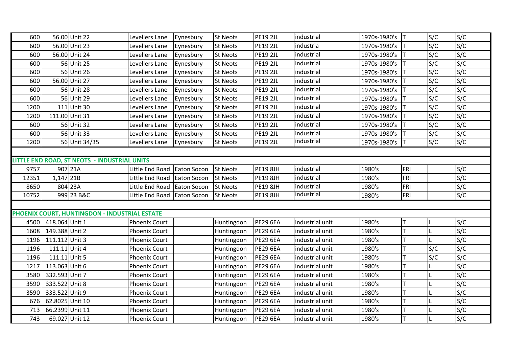| 600   |                 | 56.00 Unit 22                                 | Levellers Lane              | Eynesbury          | St Neots        | <b>PE19 2JL</b> | industrial      | 1970s-1980's |     | S/C | S/C |
|-------|-----------------|-----------------------------------------------|-----------------------------|--------------------|-----------------|-----------------|-----------------|--------------|-----|-----|-----|
| 600   |                 | 56.00 Unit 23                                 | Levellers Lane              | Eynesbury          | <b>St Neots</b> | <b>PE19 2JL</b> | industria       | 1970s-1980's |     | S/C | S/C |
| 600   |                 | 56.00 Unit 24                                 | Levellers Lane              | Eynesbury          | <b>St Neots</b> | <b>PE19 2JL</b> | industrial      | 1970s-1980's |     | S/C | S/C |
| 600   |                 | 56 Unit 25                                    | Levellers Lane              | Eynesbury          | <b>St Neots</b> | <b>PE19 2JL</b> | industrial      | 1970s-1980's |     | S/C | S/C |
| 600   |                 | 56 Unit 26                                    | Levellers Lane              | Eynesbury          | <b>St Neots</b> | <b>PE19 2JL</b> | industrial      | 1970s-1980's |     | S/C | S/C |
| 600   |                 | 56.00 Unit 27                                 | Levellers Lane              | Eynesbury          | <b>St Neots</b> | <b>PE19 2JL</b> | industrial      | 1970s-1980's |     | S/C | S/C |
| 600   |                 | 56 Unit 28                                    | Levellers Lane              | Eynesbury          | <b>St Neots</b> | <b>PE19 2JL</b> | industrial      | 1970s-1980's |     | S/C | S/C |
| 600   |                 | 56 Unit 29                                    | Levellers Lane              | Eynesbury          | <b>St Neots</b> | <b>PE19 2JL</b> | industrial      | 1970s-1980's |     | S/C | S/C |
| 1200  |                 | 111 Unit 30                                   | Levellers Lane              | Eynesbury          | <b>St Neots</b> | <b>PE19 2JL</b> | industrial      | 1970s-1980's |     | S/C | S/C |
| 1200  | 111.00 Unit 31  |                                               | Levellers Lane              | Eynesbury          | <b>St Neots</b> | <b>PE19 2JL</b> | industrial      | 1970s-1980's |     | S/C | S/C |
| 600   |                 | 56 Unit 32                                    | Levellers Lane              | Eynesbury          | <b>St Neots</b> | <b>PE19 2JL</b> | industrial      | 1970s-1980's |     | S/C | S/C |
| 600   |                 | 56 Unit 33                                    | Levellers Lane              | Eynesbury          | <b>St Neots</b> | <b>PE19 2JL</b> | industrial      | 1970s-1980's |     | S/C | S/C |
| 1200  |                 | 56 Unit 34/35                                 | Levellers Lane              | Eynesbury          | <b>St Neots</b> | <b>PE19 2JL</b> | industrial      | 1970s-1980's |     | S/C | S/C |
|       |                 |                                               |                             |                    |                 |                 |                 |              |     |     |     |
|       |                 | LITTLE END ROAD, ST NEOTS - INDUSTRIAL UNITS  |                             |                    |                 |                 |                 |              |     |     |     |
| 9757  | 907 21A         |                                               | Little End Road Eaton Socon |                    | <b>St Neots</b> | <b>PE19 8JH</b> | industrial      | 1980's       | FRI |     | S/C |
| 12351 | 1,147 21B       |                                               | Little End Road             | Eaton Socon        | <b>St Neots</b> | <b>PE19 8JH</b> | industrial      | 1980's       | FRI |     | S/C |
| 8650  | 804 23A         |                                               | Little End Road             | <b>Eaton Socon</b> | <b>St Neots</b> | <b>PE19 8JH</b> | industrial      | 1980's       | FRI |     | S/C |
| 10752 |                 | 999 23 B&C                                    | Little End Road Eaton Socon |                    | <b>St Neots</b> | <b>PE19 8JH</b> | industrial      | 1980's       | FRI |     | S/C |
|       |                 |                                               |                             |                    |                 |                 |                 |              |     |     |     |
|       |                 | PHOENIX COURT, HUNTINGDON - INDUSTRIAL ESTATE |                             |                    |                 |                 |                 |              |     |     |     |
| 4500  | 418.064 Unit 1  |                                               | <b>Phoenix Court</b>        |                    | Huntingdon      | <b>PE29 6EA</b> | industrial unit | 1980's       |     |     | S/C |
| 1608  | 149.388 Unit 2  |                                               | Phoenix Court               |                    | Huntingdon      | <b>PE29 6EA</b> | industrial unit | 1980's       |     |     | S/C |
| 1196  | 111.112 Unit 3  |                                               | <b>Phoenix Court</b>        |                    | Huntingdon      | <b>PE29 6EA</b> | industrial unit | 1980's       |     |     | S/C |
| 1196  | 111.11 Unit 4   |                                               | Phoenix Court               |                    | Huntingdon      | <b>PE29 6EA</b> | industrial unit | 1980's       |     | S/C | S/C |
| 1196  | 111.11 Unit 5   |                                               | Phoenix Court               |                    | Huntingdon      | <b>PE29 6EA</b> | industrial unit | 1980's       |     | S/C | S/C |
| 1217  | 113.063 Unit 6  |                                               | Phoenix Court               |                    | Huntingdon      | <b>PE29 6EA</b> | industrial unit | 1980's       |     |     | S/C |
| 3580  | 332.593 Unit 7  |                                               | <b>Phoenix Court</b>        |                    | Huntingdon      | <b>PE29 6EA</b> | industrial unit | 1980's       |     |     | S/C |
| 3590  | 333.522 Unit 8  |                                               | Phoenix Court               |                    | Huntingdon      | <b>PE29 6EA</b> | industrial unit | 1980's       |     |     | S/C |
| 3590  | 333.522 Unit 9  |                                               | Phoenix Court               |                    | Huntingdon      | <b>PE29 6EA</b> | industrial unit | 1980's       |     |     | S/C |
| 676   | 62.8025 Unit 10 |                                               | <b>Phoenix Court</b>        |                    | Huntingdon      | <b>PE29 6EA</b> | industrial unit | 1980's       |     |     | S/C |
| 713   | 66.2399 Unit 11 |                                               | Phoenix Court               |                    | Huntingdon      | <b>PE29 6EA</b> | industrial unit | 1980's       |     |     | S/C |
| 743   | 69.027 Unit 12  |                                               | Phoenix Court               |                    | Huntingdon      | <b>PE29 6EA</b> | industrial unit | 1980's       |     |     | S/C |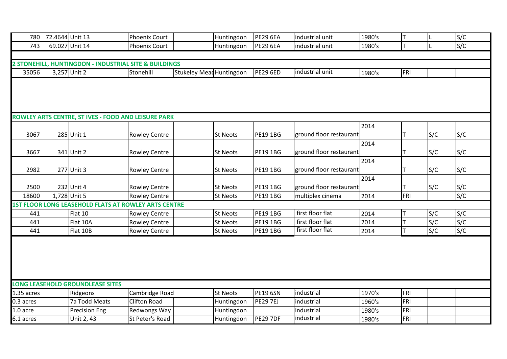| 780           | 72.4644 Unit 13 |                                                       | <b>Phoenix Court</b> |                                 | Huntingdon      | <b>PE29 6EA</b>                    | industrial unit         | 1980's |            |     | S/C |
|---------------|-----------------|-------------------------------------------------------|----------------------|---------------------------------|-----------------|------------------------------------|-------------------------|--------|------------|-----|-----|
| 743           |                 | 69.027 Unit 14                                        | <b>Phoenix Court</b> |                                 | Huntingdon      | <b>PE29 6EA</b>                    | industrial unit         | 1980's |            |     | S/C |
|               |                 |                                                       |                      |                                 |                 |                                    |                         |        |            |     |     |
|               |                 | 2 STONEHILL, HUNTINGDON - INDUSTRIAL SITE & BUILDINGS |                      |                                 |                 |                                    |                         |        |            |     |     |
| 35056         |                 | 3,257 Unit 2                                          | Stonehill            | <b>Stukeley Mead Huntingdon</b> |                 | <b>PE29 6ED</b>                    | industrial unit         | 1980's | <b>FRI</b> |     |     |
|               |                 |                                                       |                      |                                 |                 |                                    |                         |        |            |     |     |
|               |                 |                                                       |                      |                                 |                 |                                    |                         |        |            |     |     |
|               |                 |                                                       |                      |                                 |                 |                                    |                         |        |            |     |     |
|               |                 |                                                       |                      |                                 |                 |                                    |                         |        |            |     |     |
|               |                 | ROWLEY ARTS CENTRE, ST IVES - FOOD AND LEISURE PARK   |                      |                                 |                 |                                    |                         |        |            |     |     |
|               |                 |                                                       |                      |                                 |                 |                                    |                         | 2014   |            |     |     |
| 3067          |                 | 285 Unit 1                                            | <b>Rowley Centre</b> |                                 | <b>St Neots</b> | <b>PE19 1BG</b>                    | ground floor restaurant |        |            | S/C | S/C |
|               |                 |                                                       |                      |                                 |                 |                                    |                         | 2014   |            |     |     |
| 3667          |                 | 341 Unit 2                                            | <b>Rowley Centre</b> |                                 | <b>St Neots</b> | <b>PE19 1BG</b>                    | ground floor restaurant |        |            | S/C | S/C |
|               |                 |                                                       |                      |                                 |                 |                                    |                         | 2014   |            |     |     |
| 2982          |                 | 277 Unit 3                                            | <b>Rowley Centre</b> |                                 | <b>St Neots</b> | <b>PE19 1BG</b>                    | ground floor restaurant |        |            | S/C | S/C |
|               |                 |                                                       |                      |                                 |                 |                                    |                         | 2014   |            |     |     |
| 2500<br>18600 |                 | 232 Unit 4<br>1,728 Unit 5                            | <b>Rowley Centre</b> |                                 | <b>St Neots</b> | <b>PE19 1BG</b><br><b>PE19 1BG</b> | ground floor restaurant |        | FRI        | S/C | S/C |
|               |                 | 1ST FLOOR LONG LEASEHOLD FLATS AT ROWLEY ARTS CENTRE  | <b>Rowley Centre</b> |                                 | <b>St Neots</b> |                                    | multiplex cinema        | 2014   |            |     | S/C |
| 441           |                 | Flat 10                                               | <b>Rowley Centre</b> |                                 | <b>St Neots</b> | <b>PE19 1BG</b>                    | first floor flat        | 2014   |            | S/C | S/C |
| 441           |                 | Flat 10A                                              | <b>Rowley Centre</b> |                                 | <b>St Neots</b> | <b>PE19 1BG</b>                    | first floor flat        | 2014   |            | S/C | S/C |
| 441           |                 | Flat 10B                                              | <b>Rowley Centre</b> |                                 | <b>St Neots</b> | <b>PE19 1BG</b>                    | first floor flat        | 2014   |            | S/C | S/C |
|               |                 |                                                       |                      |                                 |                 |                                    |                         |        |            |     |     |
|               |                 |                                                       |                      |                                 |                 |                                    |                         |        |            |     |     |
|               |                 |                                                       |                      |                                 |                 |                                    |                         |        |            |     |     |
|               |                 |                                                       |                      |                                 |                 |                                    |                         |        |            |     |     |
|               |                 |                                                       |                      |                                 |                 |                                    |                         |        |            |     |     |
|               |                 | LONG LEASEHOLD GROUNDLEASE SITES                      |                      |                                 |                 |                                    |                         |        |            |     |     |
| 1.35 acres    |                 | Ridgeons                                              | Cambridge Road       |                                 | <b>St Neots</b> | <b>PE19 6SN</b>                    | industrial              | 1970's | FRI        |     |     |
| 0.3 acres     |                 | 7a Todd Meats                                         | <b>Clifton Road</b>  |                                 | Huntingdon      | <b>PE29 7EJ</b>                    | industrial              | 1960's | FRI        |     |     |
| 1.0 acre      |                 | <b>Precision Eng</b>                                  | Redwongs Way         |                                 | Huntingdon      |                                    | industrial              | 1980's | FRI        |     |     |
| 6.1 acres     |                 | Unit 2, 43                                            | St Peter's Road      |                                 | Huntingdon      | <b>PE29 7DF</b>                    | industrial              | 1980's | FRI        |     |     |